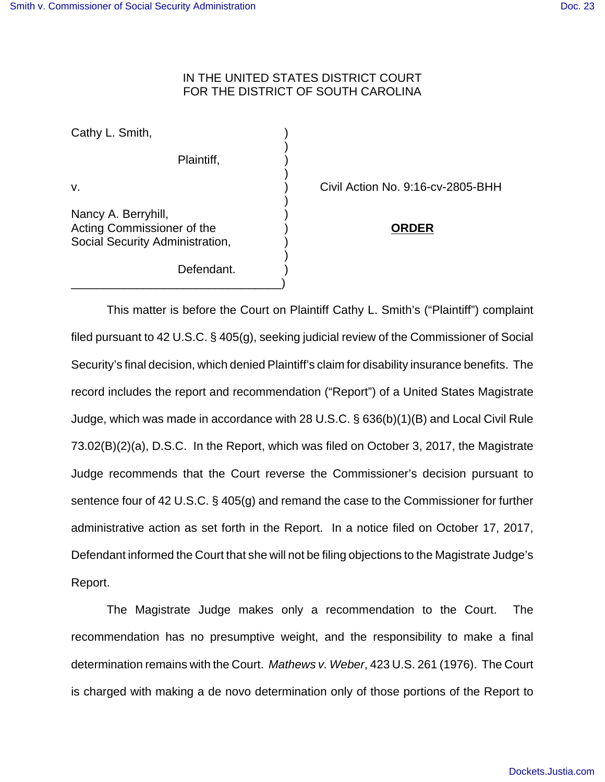## IN THE UNITED STATES DISTRICT COURT FOR THE DISTRICT OF SOUTH CAROLINA

)

)

)

)

Cathy L. Smith,

Plaintiff, )

Nancy A. Berryhill, ) Acting Commissioner of the ) **ORDER** Social Security Administration,

Defendant.

\_\_\_\_\_\_\_\_\_\_\_\_\_\_\_\_\_\_\_\_\_\_\_\_\_\_\_\_\_\_\_\_)

v. ) Civil Action No. 9:16-cv-2805-BHH

This matter is before the Court on Plaintiff Cathy L. Smith's ("Plaintiff") complaint filed pursuant to 42 U.S.C. § 405(g), seeking judicial review of the Commissioner of Social Security's final decision, which denied Plaintiff's claim for disability insurance benefits. The record includes the report and recommendation ("Report") of a United States Magistrate Judge, which was made in accordance with 28 U.S.C. § 636(b)(1)(B) and Local Civil Rule 73.02(B)(2)(a), D.S.C. In the Report, which was filed on October 3, 2017, the Magistrate Judge recommends that the Court reverse the Commissioner's decision pursuant to sentence four of 42 U.S.C. § 405(g) and remand the case to the Commissioner for further administrative action as set forth in the Report. In a notice filed on October 17, 2017, Defendant informed the Court that she will not be filing objections to the Magistrate Judge's Report.

The Magistrate Judge makes only a recommendation to the Court. The recommendation has no presumptive weight, and the responsibility to make a final determination remains with the Court. Mathews v. Weber, 423 U.S. 261 (1976). The Court is charged with making a de novo determination only of those portions of the Report to